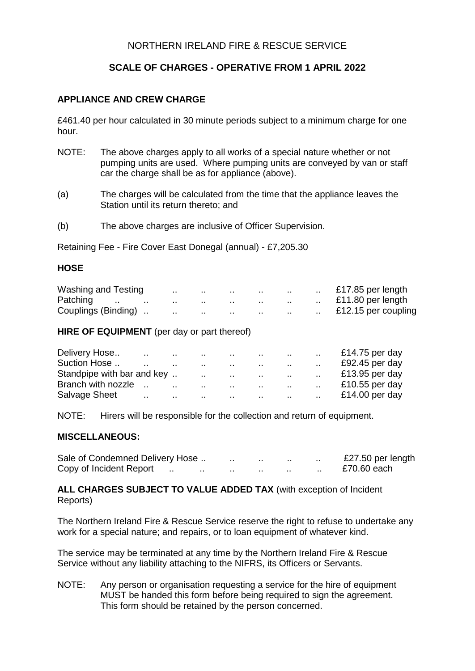# NORTHERN IRELAND FIRE & RESCUE SERVICE

# **SCALE OF CHARGES - OPERATIVE FROM 1 APRIL 2022**

# **APPLIANCE AND CREW CHARGE**

£461.40 per hour calculated in 30 minute periods subject to a minimum charge for one hour.

- NOTE: The above charges apply to all works of a special nature whether or not pumping units are used. Where pumping units are conveyed by van or staff car the charge shall be as for appliance (above).
- (a) The charges will be calculated from the time that the appliance leaves the Station until its return thereto; and
- (b) The above charges are inclusive of Officer Supervision.

Retaining Fee - Fire Cover East Donegal (annual) - £7,205.30

#### **HOSE**

| Washing and Testing         | $\cdot$ . | . .      |          |     |     | $\cdot$ . | £17.85 per length   |
|-----------------------------|-----------|----------|----------|-----|-----|-----------|---------------------|
| Patching<br>$\cdots$<br>. . |           |          |          |     | . . | . .       | £11.80 per length   |
| Couplings (Binding)         | $\cdots$  | $\cdots$ | $\cdots$ | . . | . . | . .       | £12.15 per coupling |

#### **HIRE OF EQUIPMENT** (per day or part thereof)

|                            |  |                   |  |                                                          | £14.75 per day |
|----------------------------|--|-------------------|--|----------------------------------------------------------|----------------|
| Suction Hose               |  |                   |  |                                                          | £92.45 per day |
| Standpipe with bar and key |  |                   |  | the contract of the contract of the contract of the con- | £13.95 per day |
| Branch with nozzle         |  | <b>Contractor</b> |  | the contract of the contract of the contract of          | £10.55 per day |
|                            |  |                   |  |                                                          |                |

NOTE: Hirers will be responsible for the collection and return of equipment.

#### **MISCELLANEOUS:**

| Sale of Condemned Delivery Hose |     | . . | . . | . . | . . | £27.50 per length |
|---------------------------------|-----|-----|-----|-----|-----|-------------------|
| Copy of Incident Report         | . . |     | . . | . . |     | £70.60 each       |

**ALL CHARGES SUBJECT TO VALUE ADDED TAX** (with exception of Incident Reports)

The Northern Ireland Fire & Rescue Service reserve the right to refuse to undertake any work for a special nature; and repairs, or to loan equipment of whatever kind.

The service may be terminated at any time by the Northern Ireland Fire & Rescue Service without any liability attaching to the NIFRS, its Officers or Servants.

NOTE: Any person or organisation requesting a service for the hire of equipment MUST be handed this form before being required to sign the agreement. This form should be retained by the person concerned.